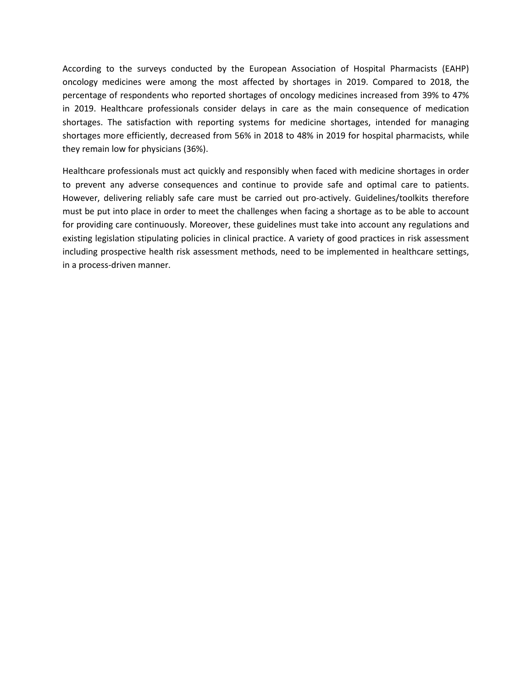According to the surveys conducted by the European Association of Hospital Pharmacists (EAHP) oncology medicines were among the most affected by shortages in 2019. Compared to 2018, the percentage of respondents who reported shortages of oncology medicines increased from 39% to 47% in 2019. Healthcare professionals consider delays in care as the main consequence of medication shortages. The satisfaction with reporting systems for medicine shortages, intended for managing shortages more efficiently, decreased from 56% in 2018 to 48% in 2019 for hospital pharmacists, while they remain low for physicians (36%).

Healthcare professionals must act quickly and responsibly when faced with medicine shortages in order to prevent any adverse consequences and continue to provide safe and optimal care to patients. However, delivering reliably safe care must be carried out pro-actively. Guidelines/toolkits therefore must be put into place in order to meet the challenges when facing a shortage as to be able to account for providing care continuously. Moreover, these guidelines must take into account any regulations and existing legislation stipulating policies in clinical practice. A variety of good practices in risk assessment including prospective health risk assessment methods, need to be implemented in healthcare settings, in a process-driven manner.